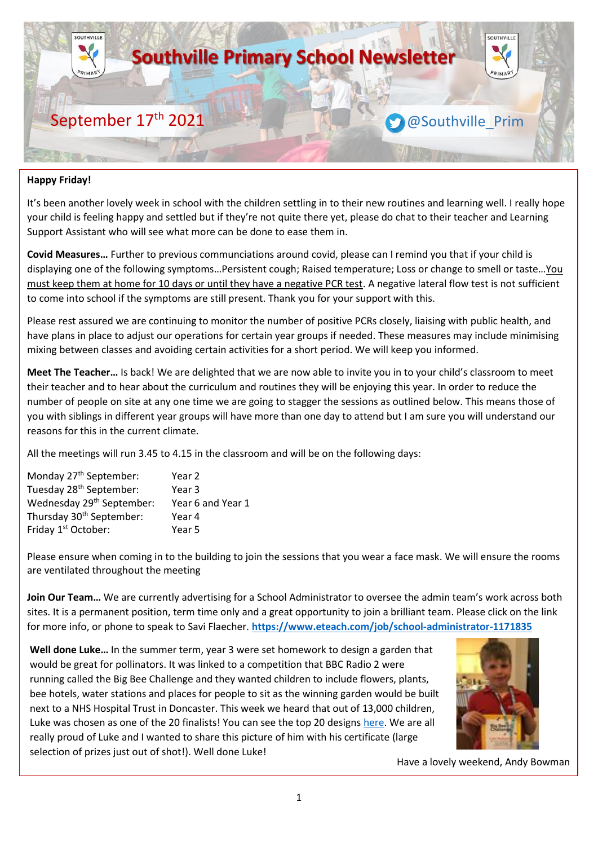

### **Happy Friday!**

It's been another lovely week in school with the children settling in to their new routines and learning well. I really hope your child is feeling happy and settled but if they're not quite there yet, please do chat to their teacher and Learning Support Assistant who will see what more can be done to ease them in.

**Covid Measures…** Further to previous communciations around covid, please can I remind you that if your child is displaying one of the following symptoms…Persistent cough; Raised temperature; Loss or change to smell or taste…You must keep them at home for 10 days or until they have a negative PCR test. A negative lateral flow test is not sufficient to come into school if the symptoms are still present. Thank you for your support with this.

Please rest assured we are continuing to monitor the number of positive PCRs closely, liaising with public health, and have plans in place to adjust our operations for certain year groups if needed. These measures may include minimising mixing between classes and avoiding certain activities for a short period. We will keep you informed.

**Meet The Teacher…** Is back! We are delighted that we are now able to invite you in to your child's classroom to meet their teacher and to hear about the curriculum and routines they will be enjoying this year. In order to reduce the number of people on site at any one time we are going to stagger the sessions as outlined below. This means those of you with siblings in different year groups will have more than one day to attend but I am sure you will understand our reasons for this in the current climate.

All the meetings will run 3.45 to 4.15 in the classroom and will be on the following days:

| Monday 27 <sup>th</sup> September:    | Year 2            |
|---------------------------------------|-------------------|
| Tuesday 28 <sup>th</sup> September:   | Year 3            |
| Wednesday 29 <sup>th</sup> September: | Year 6 and Year 1 |
| Thursday 30 <sup>th</sup> September:  | Year 4            |
| Friday 1 <sup>st</sup> October:       | Year 5            |
|                                       |                   |

Please ensure when coming in to the building to join the sessions that you wear a face mask. We will ensure the rooms are ventilated throughout the meeting

**Join Our Team…** We are currently advertising for a School Administrator to oversee the admin team's work across both sites. It is a permanent position, term time only and a great opportunity to join a brilliant team. Please click on the link for more info, or phone to speak to Savi Flaecher. **<https://www.eteach.com/job/school-administrator-1171835>**

**Well done Luke…** In the summer term, year 3 were set homework to design a garden that would be great for pollinators. It was linked to a competition that BBC Radio 2 were running called the Big Bee Challenge and they wanted children to include flowers, plants, bee hotels, water stations and places for people to sit as the winning garden would be built next to a NHS Hospital Trust in Doncaster. This week we heard that out of 13,000 children, Luke was chosen as one of the 20 finalists! You can see the top 20 designs [here.](https://www.bbc.co.uk/programmes/articles/3GGlqBWj2HwtmS2Z1whCQ7f/big-bee-challenge-winner-announced-see-the-garden-designs-from-all-the-finalists) We are all really proud of Luke and I wanted to share this picture of him with his certificate (large selection of prizes just out of shot!). Well done Luke!



Have a lovely weekend, Andy Bowman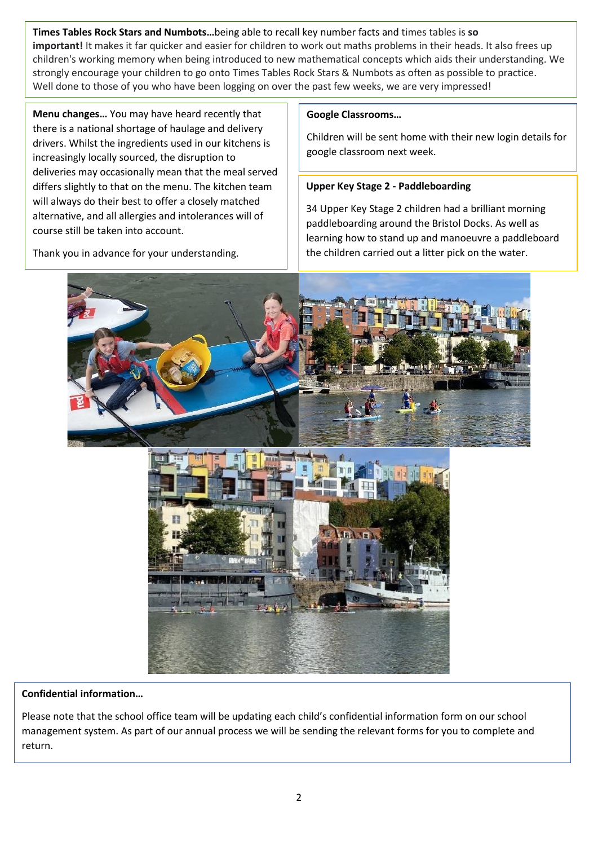**Times Tables Rock Stars and Numbots…**being able to recall key number facts and times tables is **so important!** It makes it far quicker and easier for children to work out maths problems in their heads. It also frees up children's working memory when being introduced to new mathematical concepts which aids their understanding. We strongly encourage your children to go onto Times Tables Rock Stars & Numbots as often as possible to practice. Well done to those of you who have been logging on over the past few weeks, we are very impressed!

**Menu changes…** You may have heard recently that there is a national shortage of haulage and delivery drivers. Whilst the ingredients used in our kitchens is increasingly locally sourced, the disruption to deliveries may occasionally mean that the meal served differs slightly to that on the menu. The kitchen team will always do their best to offer a closely matched alternative, and all allergies and intolerances will of course still be taken into account.

Thank you in advance for your understanding.

### **Google Classrooms…**

Children will be sent home with their new login details for google classroom next week.

# **Upper Key Stage 2 - Paddleboarding**

34 Upper Key Stage 2 children had a brilliant morning paddleboarding around the Bristol Docks. As well as learning how to stand up and manoeuvre a paddleboard the children carried out a litter pick on the water.





### **Confidential information…**

Please note that the school office team will be updating each child's confidential information form on our school management system. As part of our annual process we will be sending the relevant forms for you to complete and return.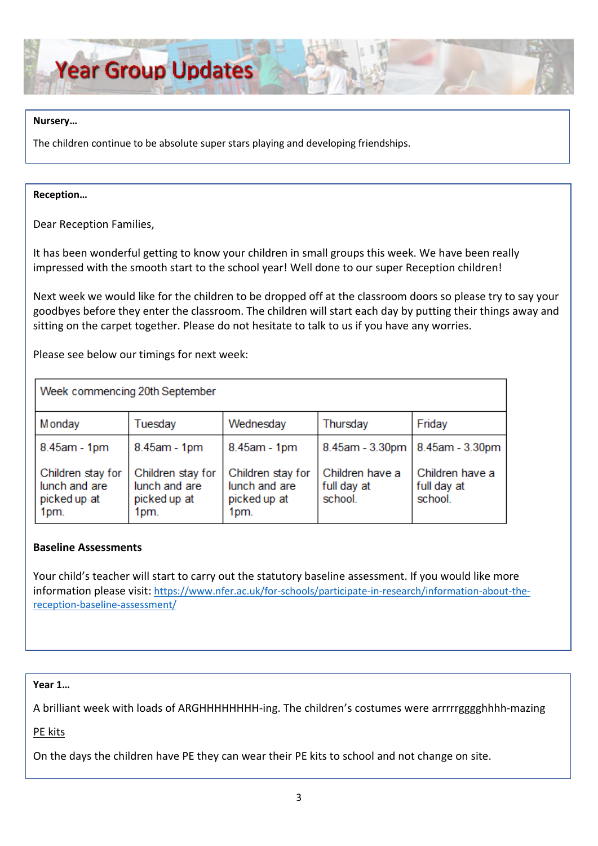

#### **Nursery…**

The children continue to be absolute super stars playing and developing friendships.

#### **Reception…**

Dear Reception Families,

It has been wonderful getting to know your children in small groups this week. We have been really impressed with the smooth start to the school year! Well done to our super Reception children!

Next week we would like for the children to be dropped off at the classroom doors so please try to say your goodbyes before they enter the classroom. The children will start each day by putting their things away and sitting on the carpet together. Please do not hesitate to talk to us if you have any worries.

Please see below our timings for next week:

| Week commencing 20th September                             |                                                            |                                                            |                                           |                                           |  |
|------------------------------------------------------------|------------------------------------------------------------|------------------------------------------------------------|-------------------------------------------|-------------------------------------------|--|
| M onday                                                    | Tuesday                                                    | Wednesday                                                  | Thursday                                  | Friday                                    |  |
| 8.45am - 1pm                                               | 8.45am - 1pm                                               | 8.45am - 1pm                                               |                                           | 8.45am - 3.30pm   8.45am - 3.30pm         |  |
| Children stay for<br>lunch and are<br>picked up at<br>1pm. | Children stay for<br>lunch and are<br>picked up at<br>1pm. | Children stay for<br>lunch and are<br>picked up at<br>1pm. | Children have a<br>full day at<br>school. | Children have a<br>full day at<br>school. |  |

### **Baseline Assessments**

Your child's teacher will start to carry out the statutory baseline assessment. If you would like more information please visit: [https://www.nfer.ac.uk/for-schools/participate-in-research/information-about-the](https://www.nfer.ac.uk/for-schools/participate-in-research/information-about-the-reception-baseline-assessment/)[reception-baseline-assessment/](https://www.nfer.ac.uk/for-schools/participate-in-research/information-about-the-reception-baseline-assessment/)

#### **Year 1…**

A brilliant week with loads of ARGHHHHHHHH-ing. The children's costumes were arrrrrgggghhhh-mazing

PE kits

On the days the children have PE they can wear their PE kits to school and not change on site.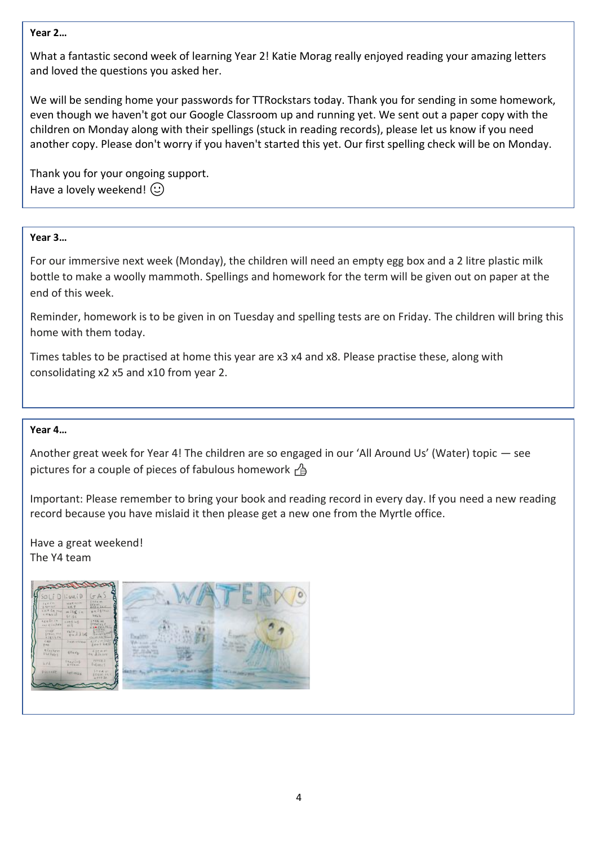### **Year 2…**

What a fantastic second week of learning Year 2! Katie Morag really enjoyed reading your amazing letters and loved the questions you asked her.

We will be sending home your passwords for TTRockstars today. Thank you for sending in some homework, even though we haven't got our Google Classroom up and running yet. We sent out a paper copy with the children on Monday along with their spellings (stuck in reading records), please let us know if you need another copy. Please don't worry if you haven't started this yet. Our first spelling check will be on Monday.

Thank you for your ongoing support. Have a lovely weekend!  $\odot$ 

## Year **Year 3** 2**…**  team

For our immersive next week (Monday), the children will need an empty egg box and a 2 litre plastic milk bottle to make a woolly mammoth. Spellings and homework for the term will be given out on paper at the end of this week.

Reminder, homework is to be given in on Tuesday and spelling tests are on Friday. The children will bring this home with them today.

Times tables to be practised at home this year are x3 x4 and x8. Please practise these, along with consolidating x2 x5 and x10 from year 2.

### **Year 4…**

Another great week for Year 4! The children are so engaged in our 'All Around Us' (Water) topic — see pictures for a couple of pieces of fabulous homework  $\overrightarrow{A}$ 

Important: Please remember to bring your book and reading record in every day. If you need a new reading record because you have mislaid it then please get a new one from the Myrtle office.

Have a great weekend! The Y4 team

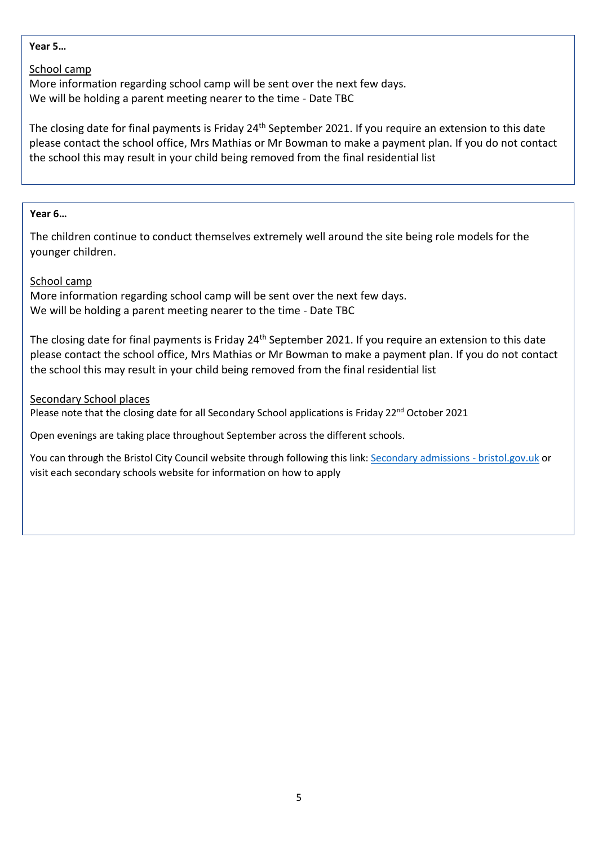### **Year 5…**

### School camp

More information regarding school camp will be sent over the next few days. We will be holding a parent meeting nearer to the time - Date TBC

The closing date for final payments is Friday 24<sup>th</sup> September 2021. If you require an extension to this date please contact the school office, Mrs Mathias or Mr Bowman to make a payment plan. If you do not contact the school this may result in your child being removed from the final residential list

### **Year 6…**

The children continue to conduct themselves extremely well around the site being role models for the younger children.

### School camp

More information regarding school camp will be sent over the next few days. We will be holding a parent meeting nearer to the time - Date TBC

The closing date for final payments is Friday 24<sup>th</sup> September 2021. If you require an extension to this date please contact the school office, Mrs Mathias or Mr Bowman to make a payment plan. If you do not contact the school this may result in your child being removed from the final residential list

### Secondary School places

Please note that the closing date for all Secondary School applications is Friday 22<sup>nd</sup> October 2021

Open evenings are taking place throughout September across the different schools.

You can through the Bristol City Council website through following this link: [Secondary admissions -](https://www.bristol.gov.uk/schools-learning-early-years/secondary-apply) bristol.gov.uk or visit each secondary schools website for information on how to apply